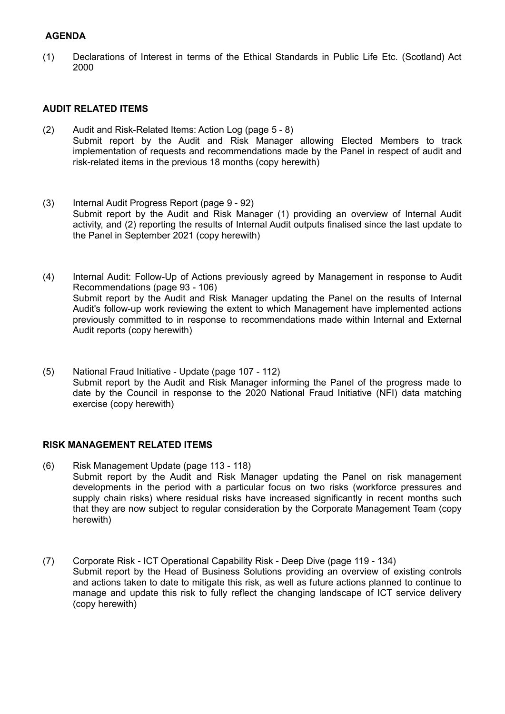# **AGENDA**

(1) Declarations of Interest in terms of the Ethical Standards in Public Life Etc. (Scotland) Act 2000

## **AUDIT RELATED ITEMS**

- (2) Audit and Risk-Related Items: Action Log (page 5 8) Submit report by the Audit and Risk Manager allowing Elected Members to track implementation of requests and recommendations made by the Panel in respect of audit and risk-related items in the previous 18 months (copy herewith)
- (3) Internal Audit Progress Report (page 9 92) Submit report by the Audit and Risk Manager (1) providing an overview of Internal Audit activity, and (2) reporting the results of Internal Audit outputs finalised since the last update to the Panel in September 2021 (copy herewith)
- (4) Internal Audit: Follow-Up of Actions previously agreed by Management in response to Audit Recommendations (page 93 - 106) Submit report by the Audit and Risk Manager updating the Panel on the results of Internal Audit's follow-up work reviewing the extent to which Management have implemented actions previously committed to in response to recommendations made within Internal and External Audit reports (copy herewith)
- (5) National Fraud Initiative Update (page 107 112) Submit report by the Audit and Risk Manager informing the Panel of the progress made to date by the Council in response to the 2020 National Fraud Initiative (NFI) data matching exercise (copy herewith)

### **RISK MANAGEMENT RELATED ITEMS**

- (6) Risk Management Update (page 113 118) Submit report by the Audit and Risk Manager updating the Panel on risk management developments in the period with a particular focus on two risks (workforce pressures and supply chain risks) where residual risks have increased significantly in recent months such that they are now subject to regular consideration by the Corporate Management Team (copy herewith)
- (7) Corporate Risk ICT Operational Capability Risk Deep Dive (page 119 134) Submit report by the Head of Business Solutions providing an overview of existing controls and actions taken to date to mitigate this risk, as well as future actions planned to continue to manage and update this risk to fully reflect the changing landscape of ICT service delivery (copy herewith)